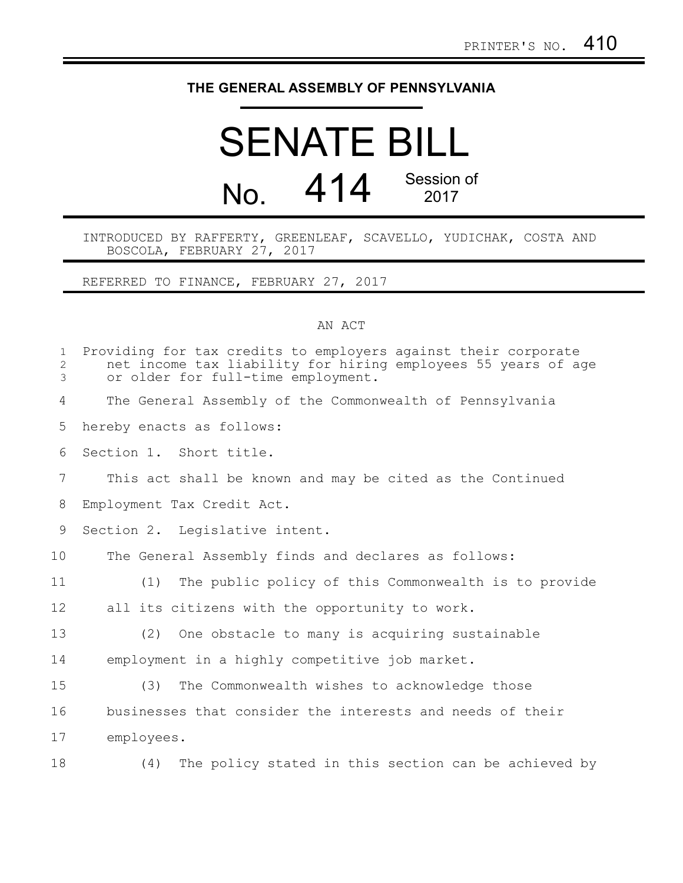## **THE GENERAL ASSEMBLY OF PENNSYLVANIA**

## SENATE BILL No. 414 Session of 2017

## INTRODUCED BY RAFFERTY, GREENLEAF, SCAVELLO, YUDICHAK, COSTA AND BOSCOLA, FEBRUARY 27, 2017

REFERRED TO FINANCE, FEBRUARY 27, 2017

## AN ACT

| $\mathbf 1$<br>$\overline{c}$<br>3 | Providing for tax credits to employers against their corporate<br>net income tax liability for hiring employees 55 years of age<br>or older for full-time employment. |
|------------------------------------|-----------------------------------------------------------------------------------------------------------------------------------------------------------------------|
| 4                                  | The General Assembly of the Commonwealth of Pennsylvania                                                                                                              |
| 5                                  | hereby enacts as follows:                                                                                                                                             |
| 6                                  | Section 1. Short title.                                                                                                                                               |
| 7                                  | This act shall be known and may be cited as the Continued                                                                                                             |
| 8                                  | Employment Tax Credit Act.                                                                                                                                            |
| 9                                  | Section 2. Legislative intent.                                                                                                                                        |
| 10                                 | The General Assembly finds and declares as follows:                                                                                                                   |
| 11                                 | The public policy of this Commonwealth is to provide<br>(1)                                                                                                           |
| 12                                 | all its citizens with the opportunity to work.                                                                                                                        |
| 13                                 | One obstacle to many is acquiring sustainable<br>(2)                                                                                                                  |
| 14                                 | employment in a highly competitive job market.                                                                                                                        |
| 15                                 | The Commonwealth wishes to acknowledge those<br>(3)                                                                                                                   |
| 16                                 | businesses that consider the interests and needs of their                                                                                                             |
| 17                                 | employees.                                                                                                                                                            |
| 18                                 | The policy stated in this section can be achieved by<br>(4)                                                                                                           |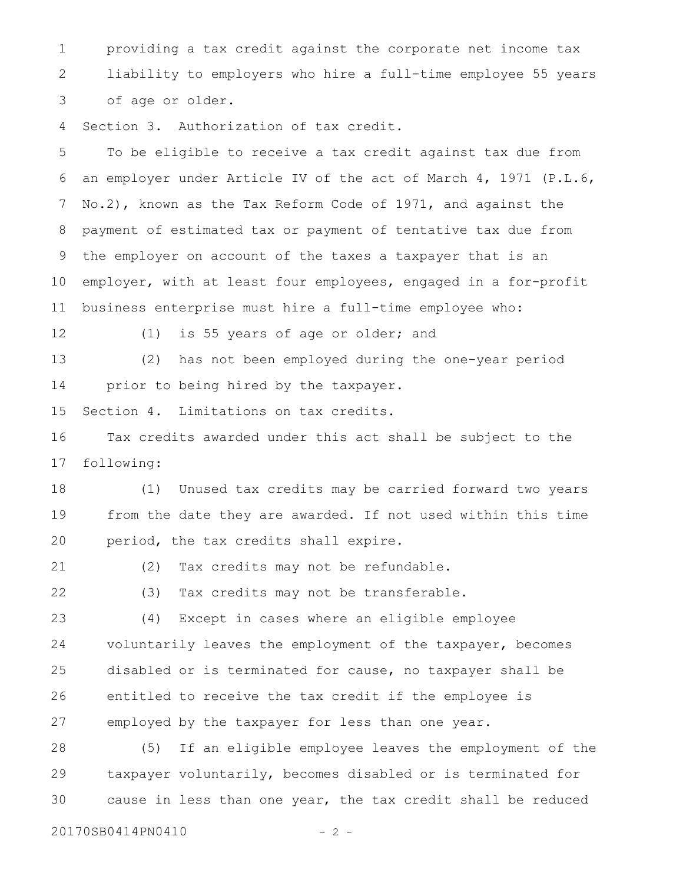providing a tax credit against the corporate net income tax liability to employers who hire a full-time employee 55 years of age or older. 1 2 3

Section 3. Authorization of tax credit. 4

To be eligible to receive a tax credit against tax due from an employer under Article IV of the act of March 4, 1971 (P.L.6, No.2), known as the Tax Reform Code of 1971, and against the payment of estimated tax or payment of tentative tax due from the employer on account of the taxes a taxpayer that is an employer, with at least four employees, engaged in a for-profit business enterprise must hire a full-time employee who: 5 6 7 8 9 10 11

12

(1) is 55 years of age or older; and

(2) has not been employed during the one-year period prior to being hired by the taxpayer. 13 14

Section 4. Limitations on tax credits. 15

Tax credits awarded under this act shall be subject to the following: 16 17

(1) Unused tax credits may be carried forward two years from the date they are awarded. If not used within this time period, the tax credits shall expire. 18 19 20

21

(2) Tax credits may not be refundable.

22

(3) Tax credits may not be transferable.

(4) Except in cases where an eligible employee voluntarily leaves the employment of the taxpayer, becomes disabled or is terminated for cause, no taxpayer shall be entitled to receive the tax credit if the employee is employed by the taxpayer for less than one year. 23 24 25 26 27

(5) If an eligible employee leaves the employment of the taxpayer voluntarily, becomes disabled or is terminated for cause in less than one year, the tax credit shall be reduced 28 29 30